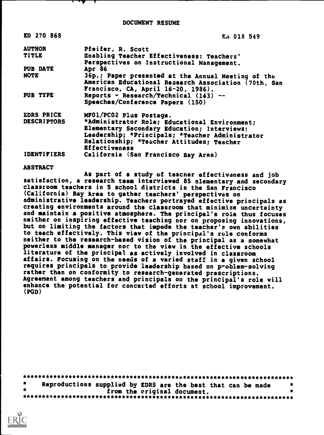DOCUMENT RESUME

| ED 270 868         | EA 018 549                                           |
|--------------------|------------------------------------------------------|
| <b>AUTHOR</b>      | Pfeifer, R. Scott                                    |
| <b>TITLE</b>       | Enabling Teacher Effectiveness: Teachers'            |
|                    | Perspectives on Instructional Management.            |
| <b>PUB DATE</b>    | Apr 86                                               |
| <b>NOTE</b>        | 36p.; Paper presented at the Annual Meeting of the   |
|                    | American Educational Research Association (70th, San |
|                    | Francisco, CA, April 16-20, 1986).                   |
| PUB TYPE           | Reports - Research/Technical $(143)$ --              |
|                    | Speeches/Conference Papers (150)                     |
| <b>EDRS PRICE</b>  | MF01/PC02 Plus Postage.                              |
| <b>DESCRIPTORS</b> | *Administrator Role; Educational Environment;        |
|                    | Elementary Secondary Education; Interviews;          |
|                    | Leadership; *Principals; *Teacher Administrator      |
|                    | Relationship; *Teacher Attitudes; Teacher            |
|                    | <b>Effectiveness</b>                                 |
| <b>IDENTIFIERS</b> | California (San Francisco Bay Area)                  |

#### ABSTRACT

As part of a study of teacher effectiveness and job satisfaction, a research team interviewed 85 elementary and secondary classroom teachers in 5 school districts in the San Francisco (California) Bay Area to gather teachers' perspectives on administrative leadership. Teachers portrayed effective principals as creating environments around the classroom that minimize uncertainty and maintain a positive atmosphere. The principal's role thus focuses neither on inspiring effective teaching nor on proposing innovations, but on limiting the factors that impede the teacher's own abilities to teach effectively. This view of the principal's role conforms neither to the research-based vision of the principal as a somewhat powerless middle manager nor to the view in the effective schools literature of the principal as actively involved in classroom affairs. Focusing on the needs of a varied staff in a given school requires principals to provide leadership based on problem-solving rather than on conformity to research-generated prescriptions. Agreement among teachers and principals on the principal's role will enhance the potential for concerted efforts at school improvement. (PGD)

| Reproductions supplied by EDRS are the best that can be made |  |
|--------------------------------------------------------------|--|
| from the criginal document.                                  |  |
|                                                              |  |

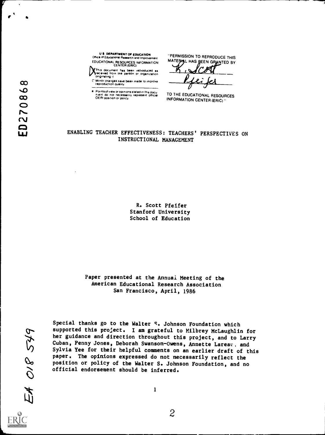$\epsilon^{\star}$ 

**1)**This document has been reproduced as **the contract of the person** or organization **and the contract of the contract of the contract of the contract of the contract of the contract of the contract of the contract of the** 

r Minor changes have been made to improve reproduction puatity

Points of vie\* or opinions stated in this docu n.ent do not necessarily rePresent official OE RI positron or policy

"PERMISSION TO REPRODUCE THIS MATERIAL HAS REEN GRANTED BY

TO THE EDUCATIONAL RESOURCES INFORMATION CENTER (ERIC)"

# ENABLING TEACHER EFFECTIVENESS: TEACHERS' PERSPECTIVES ON INSTRUCTIONAL MANAGEMENT

R. Scott Pfeifer Stanford University School of Education

Paper presented at the Annual Meeting of the American Educational Research Association San Francisco, April, 1986

EA OIP 549

Special thanks go to the Walter S. Johnson Foundation which supported this project. I am grateful to Milbrey McLaughlin for her guidance and direction throughout this project, and to Larry Cuban, Penny Jones, Deborah Swanson-Owens, Annette Lareay, and Sylvia Yee for their helpful comments on an earlier draft of this paper. The opinions expressed do not necessarily reflect the position or policy of the Walter S. Johnson Foundation, and no official endorsement should be inferred.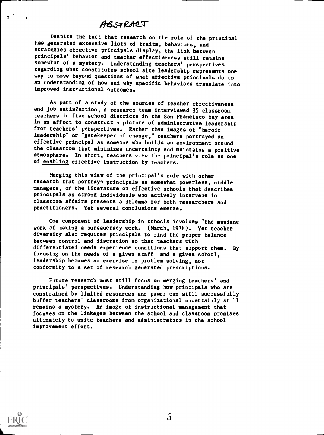# ABSTRACT

Despite the fact that research on the role of the principal has generated extensive lists of traits, behaviors, and strategies effective principals display, the link between principals' behavior and teacher effectiveness still remains somewhat of a mystery. Understanding teachers' perspectives regarding what constitutes school site leadership represents one way to move beyond questions of what effective principals do to an understanding of how and why specific behaviors translate into improved instructional outcomes.

As part of a study of the sources of teacher effectiveness and job satisfaction, a research team interviewed 85 classroom in an effort to construct a picture of administrative leadership from teachers' perspectives. Rather than images of "heroic leadership" or "gatekeeper of change," teachers portrayed an effective principal as someone who builds an environment around the classroom that minimizes uncertainty and maintains a positive atmosphere. In short, teachers view the principal's role as one of enabling effective instruction by teachers.

Merging this view of the principal's role with other research that portrays principals as somewhat powerless, middle managers, or the literature on effective schools that describes principals as strong individuals who actively intervene in classroom affairs presents a dilemma for both researchers and practitioners. Yet several conclusions emerge.

One component of leadership in schools involves "the mundane work of making a bureaucracy work." (March, 1978). Yet teacher diversity also requires principals to find the proper balance between control and discretion so that teachers with differentiated needs experience conditions that support them. By focusing on the needs of a given staff and a given school, leadership becomes an exercise in problem solving, not conformity to a set of research generated prescriptions.

Future research must still focus on merging teachers' and principals' perspectives. Understanding how principals who are constrained by limited resources and power can still successfully buffer teachers' classrooms from organizational uncertainly still remains a mystery. An image of instructional management that focuses on the linkages between the school and classroom promises ultimately to unite teachers and administrators in the school improvement effort.



 $2 \t{1}$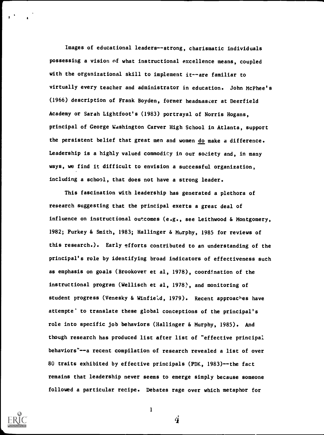Images of educational leaders--strong, charismatic individuals possessing a vision of what instructional excellence means, coupled with the organizational skill to implement it--are familiar to virtually every teacher and administrator in education. John McPhee's (1966) description of Frank Boyden, former headmaster at Deerfield Academy or Sarah Lightfoot's (1983) portrayal of Norris Hogans, principal of George Washington Carver High School in Atlanta, support the persistent belief that great men and women do make a difference. Leadership is a highly valued commodity in our society and, in many ways, we find it difficult to envision a successful organization, including a school, that does not have a strong leader.

This fascination with leadership has generated a plethora of research suggesting that the principal exerts a great deal of influence on instructional outcomes (e.g., see Leithwood & Montgomery, 1982; Purkey & Smith, 1983; Hallinger & Murphy, 1985 for reviews of this research.). Early efforts contributed to an understanding of the principal's role by identifying broad indicators of effectiveness such as emphasis on goals (Brookover et al, 1978), coordination of the instructional program (Wellisch et al, 1978), and monitoring of student progress (Venesky & Winfield, 1979). Recent approaches have attempte' to translate these global conceptions of the principal's role into specific job behaviors (Hallinger & Murphy, 1985). And though research has produced list after list of "effective principal behaviors"--a recent compilation of research revealed a list of over 80 traits exhibited by effective principals (PDK, 1983)--the fact remains that leadership never seems to emerge simply because someone followed a particular recipe. Debates rage over which metaphor for



1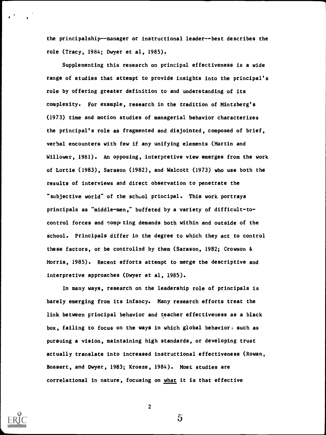the principalship--manager or instructional leader--best describes the role (Tracy, 1984; Dwyer et al, 1985).

Supplementing this research on principal effectiveness is a wide range of studies that attempt to provide insights into the principal's role by offering greater definition to and understanding of its complexity. For example, research in the tradition of Mintzberg's (1973) time and motion studies of managerial behavior characterizes the principal's role as fragmented and disjointed, composed of brief, verbal encounters with few if any unifying elements (Martin and Willower, 1981). An opposing, interpretive view emerges from the work of Lortie (1983), Sarason (1982), and Walcott (1973) who use both the results of interviews and direct observation to penetrate the "subjective world" of the school principal. This work portrays principals as "middle-men," buffeted by a variety of difficult-tocontrol forces and competing demands both within and outside of the school. Principals differ in the degree to which they act to control these factors, or be controlled by them (Sarason, 1982; Crowson & Morris, 1985). Recent efforts attempt to merge the descriptive and interpretive approaches (Dwyer et al, 1985).

In many ways, research on the leadership role of principals is barely emerging from its infancy. Many research efforts treat the link between principal behavior and teacher effectiveness as a black box, failing to focus on the ways in which global behavior; such as pursuing a vision, maintaining high standards, or developing trust actually translate into increased instructional effectiveness (Rowan, Bossert, and Dwyer, 1983; Kroeze, 1984). Most studies are correlational in nature, focusing on what it is that effective



2

 $\mathfrak{H}$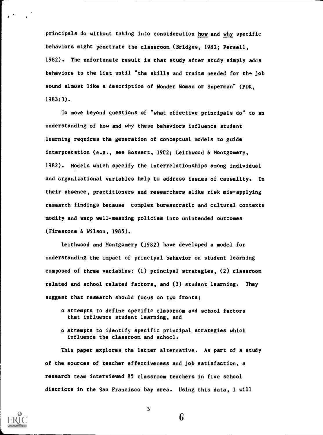principals do without taking into consideration how and why specific behaviors might penetrate the classroom (Bridges, 1982; Persell, 1982). The unfortunate result is that study after study simply adds behaviors to the list until "the skills and traits needed for the job sound almost like a description of Wonder Woman or Superman" (PDK, 1983:3).

To move beyond questions of "what effective principals do" to an understanding of how and why these behaviors influence student learning requires the generation of conceptual models to guide interpretation (e.g., see Bossert, 19C2; Leithwood & Montgomery, 1982). Models which specify the interrelationships among individual and organizational variables help to address issues of causality. In their absence, practitioners and researchers alike risk mis-applying research findings because complex bureaucratic and cultural contexts modify and warp well-meaning policies into unintended outcomes (Firestone & Wilson, 1985).

Leithwood and Montgomery (1982) have developed a model for understanding the impact of principal behavior on student learning composed of three variables: (1) principal strategies, (2) classroom related and school related factors, and (3) student learning. They suggest that research should focus on two fronts:

- o attempts to define specific classroom and school factors that influence student learning, and
- o attempts to identify specific principal strategies which influence the classroom and school.

This paper explores the latter alternative. As part of a study of the sources of teacher effectiveness and job satisfaction, a research team interviewed 85 classroom teachers in five school districts in the San Francisco bay area. Using this data, I will



 $\mathbf{I}$ 

3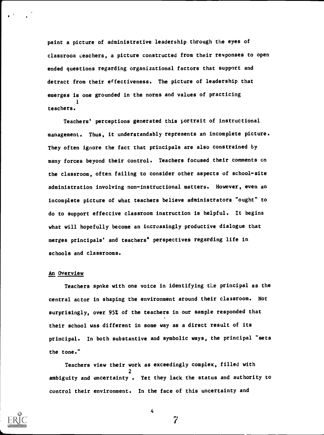paint a picture of administrative leadership through the eyes of classroom teachers, a picture constructed from their responses to open ended questions regarding organizational factors that support and detract from their effectiveness. The picture of leadership that emerges is one grounded in the norms and values of practicing 1 teachers.

Teachers' perceptions generated this portrait of instructional management. Thus, it understandably represents an incomplete picture. They often ignore the fact that principals are also constrained by many forces beyond their control. Teachers focused their comments on the classroom, often failing to consider other aspects of school-site administration involving non-instructional matters. However, even an incomplete picture of what teachers believe administrators "ought" to do to support effective classroom instruction is helpful. It begins what will hopefully become an increasingly productive dialogue that merges principals' and teachers° perspectives regarding life in schools and classrooms.

### An Overview

Teachers spoke with one voice in identifying the principal as the central actor in shaping the environment around their classroom. Not surprisingly, over 95% of the teachers in our sample responded that their school was different in some way as a direct result of its principal. In both substantive and symbolic ways, the principal "sets the tone."

Teachers view their work as exceedingly complex, filled with 2 ambiguity and uncertainty . Yet they lack the status and authority to control their environment. In the face of this uncertainty and

7

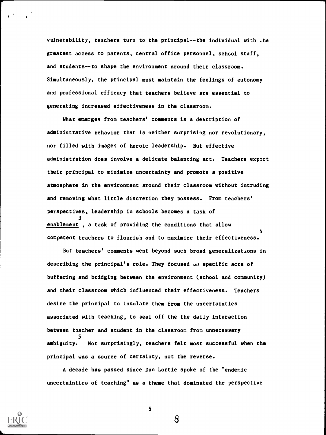vulnerability, teachers turn to the principal--the individual with .he greatest access to parents, central office personnel, school staff, and students--to shape the environment around their classroom. Simultaneously, the principal must maintain the feelings of autonomy and professional efficacy that teachers believe are essential to generating increased effectiveness in the classroom.

What emerges from teachers' comments is a description of administrative behavior that is neither surprising nor revolutionary, nor filled with images of heroic leadership. But effective administration does involve a delicate balancing act. Teachers expect their principal to minimize uncertainty and promote a positive atmosphere in the environment around their classroom without intruding and removing what little discretion they possess. From teachers' perspectives, leadership in schools becomes a task of 3 enablement , a task of providing the conditions that allow competent teachers to flourish and to maximize their effectiveness. 4

But teachers' comments went beyond such broad generalizations in describing the principal's role. They focused  $J_0$  specific acts of buffering and bridging between the environment (school and community) and their classroom which influenced their effectiveness. Teachers desire the principal to insulate them from the uncertainties associated with teaching, to seal off the the daily interaction between teacher and student in the classroom from unnecessary 5 ambiguity. Not surprisingly, teachers felt most successful when the principal was a source of certainty, not the reverse.

A decade has passed since Dan Lortie spoke of the "endemic uncertainties of teaching" as a theme that dominated the perspective



5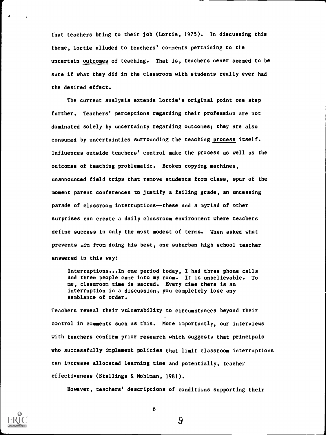that teachers bring to their job (Lortie, 1975). In discussing this theme, Lortie alluded to teachers' comments pertaining to tie uncertain outcomes of teaching. That is, teachers never seemed to be sure if what they did in the classroom with students really ever had the desired effect.

The current analysis extends Lortie's original point one step further. Teachers' perceptions regarding their profession are not dominated solely by uncertainty regarding outcomes; they are also consumed by uncertainties surrounding the teaching process itself. Influences outside teachers' control make the process as well as the outcomes of teaching problematic. Broken copying machines, unannounced field trips that remove students from class, spur of the moment parent conferences to justify a failing grade, an unceasing parade of classroom interruptions--these and a myriad of other surprises can create a daily classroom environment where teachers define success in only the most modest of terms. When asked what prevents .im from doing his best, one suburban high school teacher answered in this way:

Interruptions...In one period today, I had three phone calls and three people came into my room. It is unbelievable. To me, classroom time is sacred. Every time there is an interruption in a discussion, you completely lose any semblance of order.

Teachers reveal their vulnerability to circumstances beyond their control in comments such as this. More importantly, our interviews with teachers confirm prior research which suggests that principals who successfully implement policies that limit classroom interruptions can increase allocated learning time and potentially, teacher effectiveness (Stallings & Mohlman, 1981).

However, teachers' descriptions of conditions supporting their

9

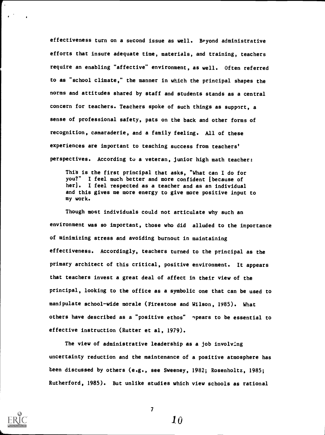effectiveness turn on a second issue as well. Beyond administrative efforts that insure adequate time, materials, and training, teachers require an enabling "affective" environment, as well. Often referred to as "school climate," the manner in which the principal shapes the norms and attitudes shared by staff and students stands as a central concern for teachers. Teachers spoke of such things as support, a sense of professional safety, pats on the back and other forms of recognition, camaraderie, and a family feeling. All of these experiences are important to teaching success from teachers' perspectives. According to a veteran, junior high math teacher:

This is the first principal that asks, "What can I do for you?" I feel much better and more confident [because of her]. I feel respected as a teacher and as an individual and this gives me more energy to give more positive input to my work.

Though most individuals could not articulate why such an environment was so important, those who did alluded to the importance of minimizing stress and avoiding burnout in maintaining effectiveness. Accordingly, teachers turned to the principal as the primary architect of this critical, positive environment. It appears that teachers invest a great deal of affect in their view of the principal, looking to the office as a symbolic one that can be used to manipulate school-wide morale (Firestone and Wilson, 1985). What others have described as a "positive ethos" npears to be essential to effective instruction (Rutter et al, 1979).

The view of administrative leadership as a job involving uncertainty reduction and the maintenance of a positive atmosphere has been discussed by others (e.g., see Sweeney, 1982; Rosenholtz, 1985; Rutherford, 1985). But unlike studies which view schools as rational



7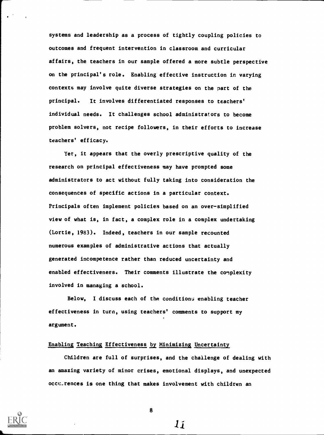systems and leadership as a process of tightly coupling policies to outcomes and frequent intervention in classroom and curricular affairs, the teachers in our sample offered a more subtle perspective on the principal's role. Enabling effective instruction in varying contexts may involve quite diverse strategies on the part of the principal. It involves differentiated responses to teachers' individual needs. It challenges school administrators to become problem solvers, not recipe followers, in their efforts to increase teachers' efficacy.

Yet, it appears that the overly prescriptive quality of the research on principal effectiveness may have prompted some administrators to act without fully taking into consideration the consequences of specific actions in a particular context. Principals often implement policies based on an over-simplified view of what is, in fact, a complex role in a complex undertaking (Lortie, 1983). Indeed, teachers in our sample recounted numerous examples of administrative actions that actually generated incompetence rather than reduced uncertainty and enabled effectiveness. Their comments illustrate the complexity involved in managing a school.

Below, I discuss each of the conditions enabling teacher effectiveness in turn, using teachers' comments to support my argument.

#### Enabling Teaching Effectiveness by Minimizing Uncertainty

Children are full of surprises, and the challenge of dealing with an amazing variety of minor crises, emotional displays, and unexpected occurrences is one thing that makes involvement with children an

11

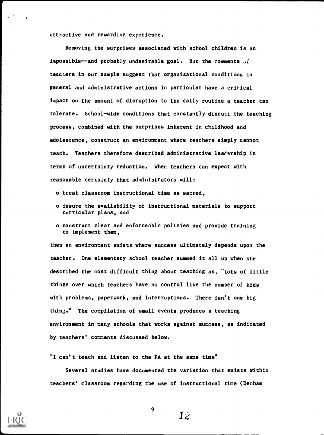attractive and rewarding experience.

Removing the surprises associated with school children is an impossible--and probably undesirable goal. But the comments  $J\tilde{i}$ teachers in our sample suggest that organizational conditions in general and administrative actions in particular have a critical impact on the amount of disruption to the daily routine a teacher can tolerate. School-wide conditions that constantly disrupt the teaching process, combined with the surprises inherent in childhood and adolescence, construct an environment where teachers simply cannot teach. Teachers therefore described administrative leadership in terms of uncertainty reduction. When teachers can expect with reasonable certainty that administrators will:

- o treat classroom instructional time as sacred,
- o insure the availability of instructional materials to support curricular plans, and
- o construct clear and enforceable policies and provide training to implement them,

then an environment exists where success ultimately depends upon the teacher. One elementary school teacher summed it all up when she described the most difficult thing about teaching as, "Lots of little things over which teachers have no control like the number of kids with problems, paperwork, and interruptions. There isn't one big thing." The compilation of small events produces a teaching environment in many schools that works against success, as indicated by teachers' comments discussed below.

"I can't teach and listen to the PA at the same time"

Several studies have documented the variation that exists within teachers' classroom regarding the use of instructional time (Denham



9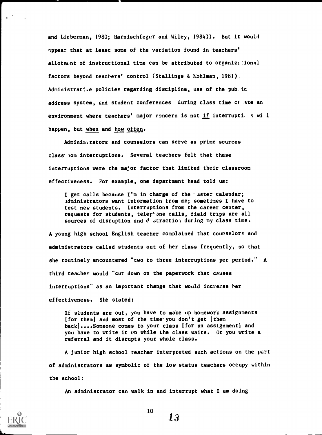and Lieberman, 1980; Harnischfeger and Wiley, 1984)). But it would appear that at least some of the variation found in teachers' allotment of instructional time can be attributed to organize :ional factors beyond teachers' control (Stallings & hohlman, 1981). Administrative policies regarding discipline, use of the pub.ic address system, and student conferences during class time crate an environment where teachers' major concern is not if interruptions will happen, but when and how often.

Administrators and counselors can serve as prime sources class com interruptions. Several teachers felt that these interruptions were the major factor that limited their classroom effectiveness. For example, one department head told us:

I get calls because I'm in charge of the 'aster calendar; administrators want information from me; sometimes I have to test new students. Interruptions from the career center, requests for students, teler'one calls, field trips are all sources of disruption and d straction during my class time.

A young high school English teacher complained that counselors and administrators called students out of her class frequently, so that she routinely encountered "two to three interruptions per period." A third teacher would "cut down on the paperwork that causes interruptions" as an important change that would increase her effectiveness. She stated:

If students are out, you have to make up homework assignments [for them] and most of the time you don't get [them back]....Someone comes to your class [for an assignment] and you have to write it up while the class waits. Or you write a referral and it disrupts your whole class.

A junior high school teacher interpreted such actions on the part of administrators as symbolic of the low status teachers occupy within the school:

An administrator can walk in and interrupt what I am doing



10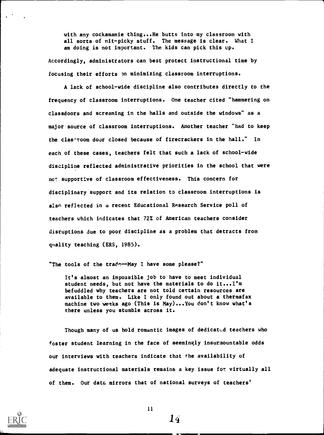with any cockamamie thing...He butts into my classroom with all sorts of nit-picky stuff. The message is clear. What I am doing is not important. The kids can pick this up.

Accordingly, administrators can best protect instructional time by focusing their efforts on minimizing classroom interruptions.

A lack of school-wide discipline also contributes directly to the frequency of classroom interruptions. One teacher cited "hammering on classdoors and screaming in the halls and outside the windows" as a major source of classroom interruptions. Another teacher "had to keep the clas-room door closed because of firecrackers in the hall." In each of these cases, teachers felt that such a lack of school-wide discipline reflected administrative priorities in the school that were not supportive of classroom effectiveness. This concern for disciplinary support and its relation to classroom interruptions is also reflected in a recent Educational Research Service poll of teachers which indicates that 72% of American teachers consider disruptions due to poor discipline as a problem that detracts from quality teaching (ERS, 1985).

"The tools of the trade--May I have some please?"

It's almost an impossible job to have to meet individual student needs, but not have the materials to do it...I'm befuddled why teachers are not told certain resources are available to them. Like I only found out about a thermafax machine two weeks ago (This is May)...You don't know what's there unless you stumble across it.

Though many of us hold romantic images of dedicated teachers who foster student learning in the face of seemingly insurmountable odds our interviews with teachers indicate that the availability of adequate instructional materials remains a key issue for virtually all of them. Our data mirrors that of national surveys of teachers'



11

 $\overline{14}$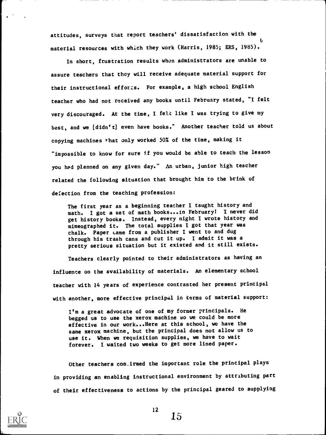attitudes, surveys that report teachers' dissatisfaction with the material resources with which they work (Harris, 1985; ERS, 1985).

In short, frustration results when administrators are unable to assure teachers that they will receive adequate material support for their instructional efforts. For example, a high school English teacher who had not received any books until February stated, "I felt very discouraged. At the time, I felt like I was trying to give my hest, and we [didn't] even have books." Another teacher told us about copying machines that only worked 50% of the time, making it "impossible to know for sure if you would be able to teach the lesson you had planned on any given day." An urban, junior high teacher related the following situation that brought him to the brink of defection from the teaching profession:

The first year as a beginning teacher I taught history and math. I got a set of math books...in February! I never did get history books. Instead, every night I wrote history and mimeographed it. The total supplies I got that year was chalk. Paper Lame from a publisher I went to and dug through his trash cans and cut it up. I admit it was a pretty serious situation but it existed and it still exists.

Teachers clearly pointed to their administrators as having an influence on the availability of materials. An elementary school teacher with 14 years of experience contrasted her present principal with another, more effective principal in terms of material support:

I'm a great advocate of one of my former principals. He begged us to use the xerox machine so we could be more effective in our work...Here at this school, we have the same xerox machine, but the principal does not allow us to use it. When we requisition supplies, we have to wait forever. I waited two weeks to get more lined paper.

Other teachers con.irmed the important role the principal plays in providing an enabling instructional environment by attributing part of their effectiveness to actions by the principal geared to supplying



12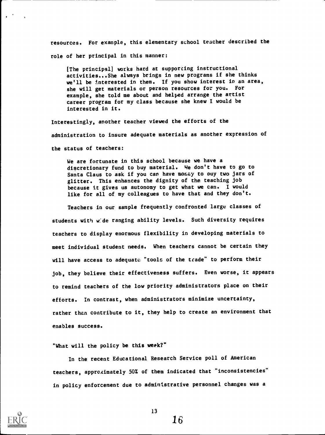resources. For example, this elementary school teacher described the role of her principal in this manner:

[The principal) works hard at supporting instructional activities...She always brings in new programs if she thinks we'll be interested in them. If you show interest in an area, she will get materials or person resources for you. For example, she told me about and helped arrange the artist career program for my class because she knew I would be interested in it.

Interestingly, another teacher viewed the efforts of the administration to insure adequate materials as another expression of the status of teachers:

We are fortunate in this school because we have a discretionary fund to buy material. We don't have to go to Santa Claus to ask if you can have money to ouy two jars of glitter. This enhances the dignity of the teaching job because it gives us autonomy to get what we can. I would like for all of my colleagues to have that and they don't.

Teachers in our sample frequently confronted large classes of students with wide ranging ability levels. Such diversity requires teachers to display enormous flexibility in developing materials to meet individual student needs. When teachers cannot be certain they will have access to adequate "tools of the trade" to perform their job, they believe their effectiveness suffers. Even worse, it appears to remind teachers of the low priority administrators place on their efforts. In contrast, when administrators minimize uncertainty, rather then contribute to it, they help to create an environment that enables success.

### "What will the policy be this week?"

In the recent Educational Research Service poll of American teachers, approximately 50% of them indicated that "inconsistencies" in policy enforcement due to administrative personnel changes was a



13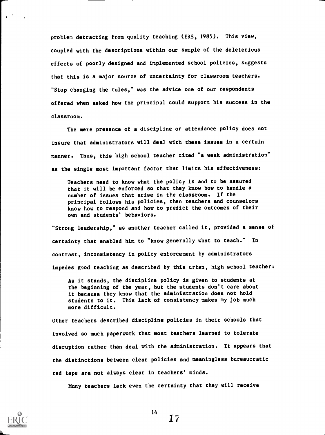problem detracting from quality teaching (ERS, 1985). This view, coupled with the descriptions within our sample of the deleterious effects of poorly designed and implemented school policies, suggests that this is a major source of uncertainty for classroom teachers. "Stop changing the rules," was the advice one of our respondents offered when asked how the principal could support his success in the classroom.

The mere presence of a discipline or attendance policy does not insure that administrators will deal with these issues in a certain manner. Thus, this high school teacher cited "a weak administration" as the single most important factor that limits his effectiveness:

Teachers need to know what the policy is and to be assured that it will be enforced so that they know how to handle a number of issues that arise in the classroom. If the principal follows his policies, then teachers and counselors know how to respond and how to predict the outcomes of their own and students' behaviors.

"Strong leadership," as another teacher called it, provided a sense of certainty that enabled him to "know generally what to teach." In contrast, inconsistency in policy enforcement by administrators impedes good teaching as described by this urban, high school teacher:

As it stands, the discipline policy is given to students at the beginning of the year, but the students don't care about it because they know that the administration does not hold students to it. This lack of consistency makes my job much more difficult.

Other teachers described discipline policies in their schools that involved so much paperwork that most teachers learned to tolerate disruption rather than deal with the administration. It appears that the distinctions between clear policies and meaningless bureaucratic red tape are not always clear in teachers' minds.

Many teachers lack even the certainty that they will receive



 $17$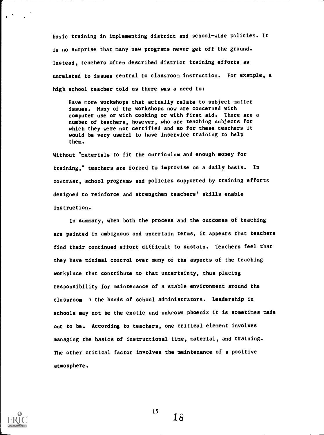basic training in implementing district and school-wide policies. It is no surprise that many new programs never get off the ground. Instead, teachers often described district training efforts as unrelated to issues central to classroom instruction. For example, a high school teacher told us there was a need to:

Have more workshops that actually relate to subject matter issues. Many of the workshops now are concerned with computer use or with cooking or with first aid. There are a number of teachers, however, who are teaching subjects for which they were not certified and so for these teachers it would be very useful to have inservice training to help them.

Without "materials to fit the curriculum and enough money for training," teachers are forced to improvise on a daily basis. In contrast, school programs and policies supported by training efforts designed to reinforce and strengthen teachers' skills enable instruction.

In summary, when both the process and the outcomes of teaching are painted in ambiguous and uncertain terms, it appears that teachers find their continued effort difficult to sustain. Teachers feel that they have minimal control over many of the aspects of the teaching workplace that contribute to that uncertainty, thus placing responsibility for maintenance of a stable environment around the classroom 1 the hands of school administrators. Leadership in schools may not be the exotic and unknown phoenix it is sometimes made out to be. According to teachers, one critical element involves managing the basics of instructional time, material, and training. The other critical factor involves the maintenance of a positive atmosphere.



15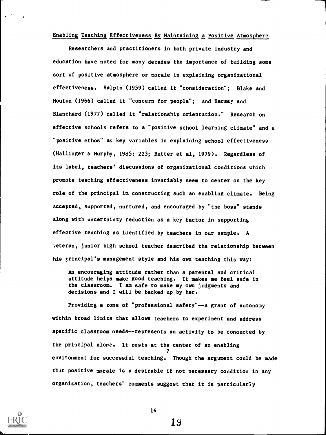### Enabling Teaching Effectiveness By Maintaining a Positive Atmosphere

Researchers and practitioners in both private industry and education have noted for many decades the importance of building some sort of positive atmosphere or morale in explaining organizational effectiveness. Halpin (1959) called it "consideration"; Blake and Mouton (1966) called it "concern for people"; and Hersey and Blanchard (1977) called it "relationship orientation." Research on effective schools refers to a "positive school learning climate" and a "positive ethos" as key variables in explaining school effectiveness (Hallinger & Murphy, 1985: 223; Rutter et al, 1979). Regardless of its label, teachers' discussions of organizational conditions which promote teaching effectiveness invariably seem to center on the key role of the principal in constructing such an enabling climate. Being accepted, supported, nurtured, and encouraged by "the boss" stands along with uncertainty reduction as a key factor in supporting effective teaching as identified by teachers in our sample. A veteran, junior high school teacher described the relationship between his principal's management style and his own teaching this way:

An encouraging attitude rather than a parental and critical attitude helps make good teaching. It makes me feel safe in the classroom. I am safe to make my own judgments and decisions and I will be backed up by her.

Providing a zone of "professional safety"--a grant of autonomy within broad limits that allows teachers to experiment and address specific classroom needs--represents an activity to be conducted by the principal alone. It rests at the center of an enabling  $\mathcal{T}$  and  $\mathcal{T}$ environment for successful teaching. Though the argument could be made that positive morale is a desirable if not necessary condition in any organization, teachers' comments suggest that it is particularly



16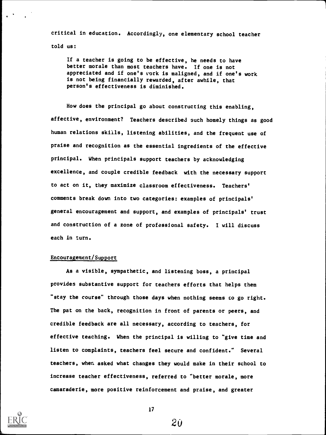critical in education. Accordingly, one elementary school teacher told us:

If a teacher is going to be effective, he needs to have better morale than most teachers have. If one is not appreciated and if one's vork is maligned, and if one's work is not being financially rewarded, after awhile, that person's effectiveness is diminished.

How does the principal go about constructing this enabling, affective, environment? Teachers described such homely things as good human relations skills, listening abilities, and the frequent use of praise and recognition as the essential ingredients of the effective principal. When principals support teachers by acknowledging excellence, and couple credible feedback with the necessary support to act on it, they maximize classroom effectiveness. Teachers' comments break down into two categories: examples of principals' general encouragement and support, and examples of principals' trust and construction of a zone of professional safety. I will discuss each in turn.

## Encouragement/Support

As a visible, sympathetic, and listening boss, a principal provides substantive support for teachers efforts that helps them "stay the course" through those days when nothing seems to go right. The pat on the back, recognition in front of parents or peers, and credible feedback are all necessary, according to teachers, for effective teaching. When the principal is willing to "give time and listen to complaints, teachers feel secure and confident." Several teachers, when asked what changes they would make in their school to increase teacher effectiveness, referred to "better morale, more camaraderie, more positive reinforcement and praise, and greater



17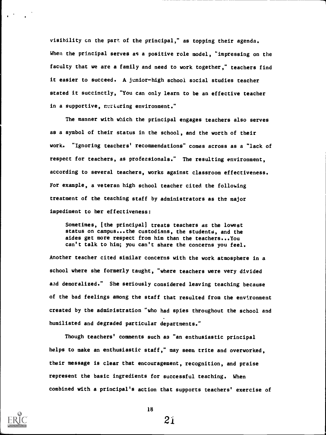visibility cn the part of the principal," as topping their agenda. When the principal serves as a positive role model, "impressing on the faculty that we are a family and need to work together," teachers find it easier to succeed. A junior-high school social studies teacher stated it succinctly, "You can only learn to be an effective teacher in a supportive, nuriuring environment."

The manner with which the principal engages teachers also serves as a symbol of their status in the school, and the worth of their work. "Ignoring teachers' recommendations" comes across as a "lack of respect for teachers, as professionals." The resulting environment, according to several teachers, works against classroom effectiveness. For example, a veteran high school teacher cited the following treatment of the teaching staff by administrators as the major impediment to her effectiveness:

Sometimes, [the principal] treats teachers as the lowest status on campus... the custodians, the students, and the aides get more respect from him than the teachers ...You can't talk to him; you can't share the concerns you feel.

Another teacher cited similar concerns with the work atmosphere in a school where she formerly taught, "where teachers were very divided aad demoralized." She seriously considered leaving teaching because of the bad feelings among the staff that resulted from the environment created by the administration "who had spies throughout the school and humiliated and degraded particular departments."

Though teachers' comments such as "an enthusiastic principal helps to make an enthusiastic staff," may seem trite and overworked, their message is clear that encouragement, recognition, and praise represent the basic ingredients for successful teaching. When combined with a principal's action that supports teachers' exercise of



18

 $2i$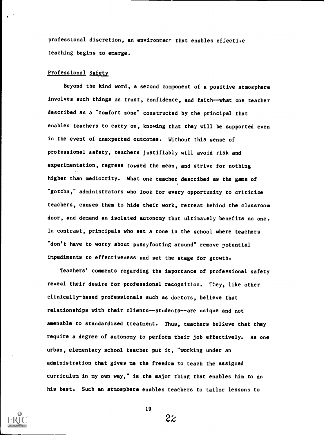professional discretion, an environment that enables effective teaching begins to emerge.

### Professional Safety

Beyond the kind word, a second component of a positive atmosphere involves such things as trust, confidence, and faith--what one teacher described as a "comfort zone" constructed by the principal that enables teachers to carry on, knowing that they will be supported even in the event of unexpected outcomes. Without this sense of professional safety, teachers justifiably will avoid risk and experimentation, regress toward the mean, and strive for nothing higher than mediocrity. What one teacher described as the game of "gotcha," administrators who look for every opportunity to criticize teachers, causes them to hide their work, retreat behind the classroom door, and demand an isolated autonomy that ultimately benefits no one. In contrast, principals who set a tone in the school where teachers "don't have to worry about pussyfooting around" remove potential impediments to effectiveness and set the stage for growth.

Teachers' comments regarding the importance of professional safety reveal their desire for professional recognition. They, like other clinically-based professionals such as doctors, believe that relationships with their clients--students--are unique and not amenable to standardized treatment. Thus, teachers believe that they require a degree of autonomy to perform their job effectively. As one urban, elementary school teacher put it, "working under an administration that gives me the freedom to teach the assigned curriculum in my own way," is the major thing that enables him to do his best. Such an atmosphere enables teachers to tailor lessons to



19

 $2\tilde{z}$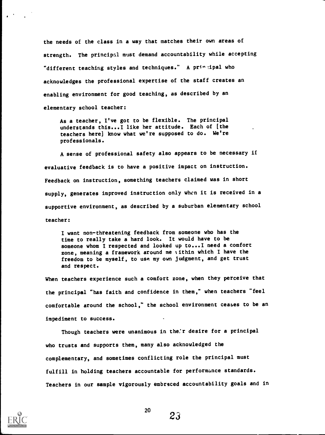the needs of the class in a way that matches their own areas of strength. The principal must demand accountability while accepting "different teaching styles and techniques." A principal who acknowledges the professional expertise of the staff creates an enabling environment for good teaching, as described by an elementary school teacher:

As a teacher, I've got to be flexible. The principal understands this...I like her attitude. Each of (the teachers here] know what we're supposed to do. We're professionals.

A sense of professional safety also appears to be necessary if evaluative feedback is to have a positive impact on instruction. Feedback on instruction, something teachers claimed was in short supply, generates improved instruction only when it is received in a supportive environment, as described by a suburban elementary school teacher:

I want non-threatening feedback from someone who has the time to really take a hard look. It would have to be someone whom I respected and looked up to ...I need a comfort zone, meaning a framework around me ;ithin which I have the freedom to be myself, to use my own judgment, and get trust and respect.

When teachers experience such a comfort zone, when they perceive that the principal "has faith and confidence in them," when teachers "feel comfortable around the school," the school environment ceases to be an impediment to success.

Though teachers were unanimous in the'r desire for a principal who trusts and supports them, many also acknowledged the complementary, and sometimes conflicting role the principal must fulfill in holding teachers accountable for performance standards. Teachers in our sample vigorously embraced accountability goals and in



20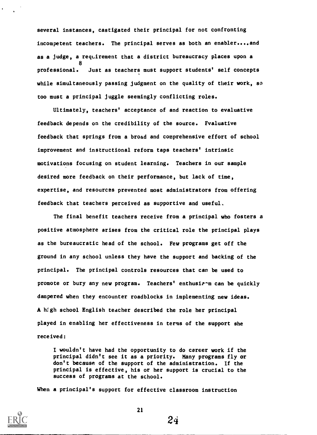several instances, castigated their principal for not confronting incompetent teachers. The principal serves as both an enabler....and as a judge, a requirement that a district bureaucracy places upon a 8 professional. Just as teachers must support students' self concepts while simultaneously passing judgment on the quality of their work, so too must a principal juggle seemingly conflicting roles.

Ultimately, teachers' acceptance of and reaction to evaluative feedback depends on the credibility of the source. Evaluative feedback that springs from a broad and comprehensive effort of school improvement and instructional reform taps teachers' intrinsic motivations focusing on student learning. Teachers in our sample desired more feedback on their performance, but lack of time, expertise, and resources prevented most administrators from offering feedback that teachers perceived as supportive and useful.

The final benefit teachers receive from a principal who fosters a positive atmosphere arises from the critical role the principal plays as the bureaucratic head of the school. Few programs get off the ground in any school unless they have the support and backing of the principal. The principal controls resources that can be used to promote or bury any new program. Teachers' enthusienm can be quickly dampered when they encounter roadblocks in implementing new ideas. A high school English teacher described the role her principal played in enabling her effectiveness in terms of the support she received:

I wouldn't have had the opportunity to do career work if the principal didn't see it as a priority. Many programs fly or don't because of the support of the administration. If the principal is effective, his or her support is crucial to the success of programs at the school.

24

When a principal's support for effective classroom instruction

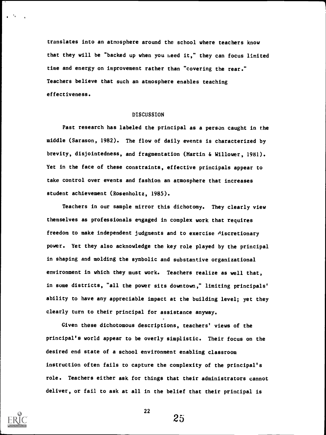translates into an atmosphere around the school where teachers know that they will be "backed up when you heed it," they can focus limited time and energy on improvement rather than "covering the rear." Teachers believe that such an atmosphere enables teaching effectiveness.

### DISCUSSION

Past research has labeled the principal as a person caught in the middle (Sarason, 1982). The flow of daily events is characterized by brevity, disjointedness, and fragmentation (Martin & Willower, 1981). Yet in the face of these constraints, effective principals appear to take control over events and fashion an atmosphere that increases student achievement (Rosenholtz, 1985).

Teachers in our sample mirror this dichotomy. They clearly view themselves as professionals engaged in complex work that requires freedom to make independent judgments and to exercise discretionary power. Yet they also acknowledge the key role played by the principal in shaping and molding the symbolic and substantive organizational environment in which they must work. Teachers realize as well that, in some districts, "all the power sits downtown," limiting principals' ability to have any appreciable impact at the building level; yet they clearly turn to their principal for assistance anyway.

Given these dichotomous descriptions, teachers' views of the principal's world appear to be overly simplistic. Their focus on the desired end state of a school environment enabling classroom instruction often fails to capture the complexity of the principal's role. Teachers either ask for things that their administrators cannot deliver, or fail to ask at all in the belief that their principal is



22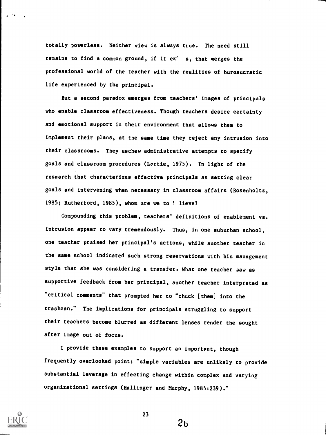totally powerless. Neither view is always true. The need still remains to find a common ground, if it ex' s, that merges the professional world of the teacher with the realities of bureaucratic life experienced by the principal.

But a second paradox emerges from teachers' images of principals who enable classroom effectiveness. Though teachers desire certainty and emotional support in their environment that allows them to implement their plans, at the same time they reject any intrusion into their classrooms. They eschew administrative attempts to specify goals and classroom procedures (Lortie, 1975). In light of the research that characterizes effective principals as setting clear goals and intervening when necessary in classroom affairs (Rosenholtz, 1985; Rutherford, 1985), whom are we to *l* lieve?

Compounding this problem, teachers' definitions of enablement vs. intrusion appear to vary tremendously. Thus, in one suburban school, one teacher praised her principal's actions, while another teacher in the same school indicated such strong reservations with his management style that she was considering a transfer. What one teacher saw as supportive feedback from her principal, another teacher interpreted as "critical comments" that prompted her to "chuck [them] into the trashcan." The implications for principals struggling to support their teachers become blurred as different lenses render the sought after image out of focus.

I provide these examples to support an important, though frequently overlooked point: "simple variables are unlikely to provide substantial leverage in effecting change within complex and varying organizational settings (Ballinger and Murphy, 1985:239)."



23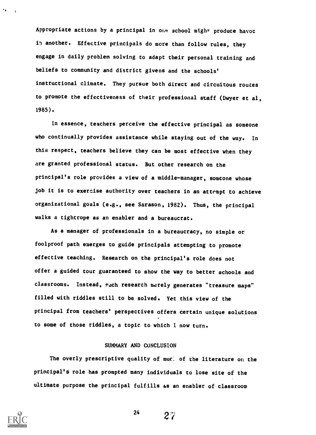Appropriate actions by a principal in ohe school might produce havoc in another. Effective principals do more than follow rules, they engage in daily problem solving to adapt their personal training and beliefs to community and district givens and the schools' instructional climate. They pursue both direct and circuitous routes to promote the effectiveness of their professional staff (Dwyer et al, 1985).

In essence, teachers perceive the effective principal as someone who continually provides assistance while staying out of the way. In this respect, teachers believe they can be most effective when they are granted professional status. But other research on the principal's role provides a view of a middle-manager, someone whose job it is to exercise authority over teachers in an attempt to achieve organizational goals (e.g., see Sarason, 1982). Thus, the principal walks a tightrope as an enabler and a bureaucrat.

As a manager of professionals in a bureaucracy, no simple or foolproof path emerges to guide principals attempting to promote effective teaching. Research on the principal's role does not offer a guided tour guaranteed to show the way to better schools and classrooms. Instead, Pych research merely generates "treasure maps" filled with riddles still to be solved. Yet this view of the principal from teachers' perspectives offers certain unique solutions to some of those riddles, a topic to which I now turn.

### SUMMARY AND CONCLUSION

The overly prescriptive quality of mucle of the literature on the principal's role has prompted many individuals to lose site of the ultimate purpose the principal fulfills as an enabler of classroom



 $2^{24}$   $2^{27}$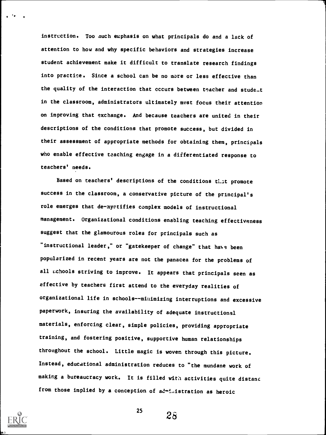instrection. Too much emphasis on what principals do and a lack of attention to how and why specific behaviors and strategies increase student achievement make it difficult to translate research findings into practice. Since a school can be no more or less effective than the quality of the interaction that occurs between teacher and stude.t in the classroom, administrators ultimately must focus their attention on improving that exchange. And because teachers are united in their descriptions of the conditions that promote success, but divided in their assessment of appropriate methods for obtaining them, principals who enable effective teaching engage in a differentiated response to teachers' needs.

Based on teachers' descriptions of the conditions that promote success in the classroom, a conservative picture of the principal's role emerges that de-mystifies complex models of instructional management. Organizational conditions enabling teaching effectiveness suggest that the glamourous roles for principals such as "instructional leader," or "gatekeeper of change" that have been popularized in recent years are not the panacea for the problems of all achools striving to improve. It appears that principals seen as effective by teachers first attend to the everyday realities of organizational life in schools-- minimizing interruptions and excessive paperwork, insuring the availability of adequate instructional materials, enforcing clear, simple policies, providing appropriate training, and fostering positive, supportive human relationships throughout the school. Little magic is woven through this picture. Instead, educational administration reduces to "the mundane work of making a bureaucracy work. It is filled with activities quite distant from those implied by a conception of administration as heroic



 $2\tilde{s}$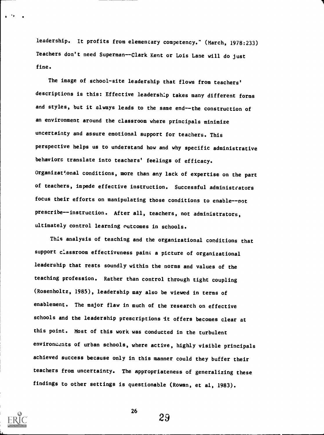leadership. It profits from elementary competency." (March, 1978:233) Teachers don't need Superman--Clark Kent or Lois Lane will do just fine.

The image of school-site leadership that flows from teachers' descriptions is this: Effective leadership takes many different forms and styles, but it always leads to the same end--the construction of an environment around the classroom where principals minimize uncertainty and assure emotional support for teachers. This perspective helps us to understand how and why specific administrative behaviors translate into teachers' feelings of efficacy. Organizational conditions, more than any lack of expertise on the part of teachers, impede effective instruction. Successful administrators focus their efforts on manipulating those conditions to enable--not prescribe--instruction. After all, teachers, not administrators, ultimately control learning outcomes in schools.

This analysis of teaching and the organizational conditions that support classroom effectiveness paint a picture of organizational leadership that rests soundly within the norms and values of the teaching profession. Rather than control through tight coupling (Rosenholtz, 1985), leadership may also be viewed in terms of enablement. The major flaw in much of the research on effective schools and the leadership prescriptions it offers becomes clear at this point. Most of this work was conducted in the turbulent environments of urban schools, where active, highly visible principals achieved success because only in this manner could they buffer their teachers from uncertainty. The appropriateness of generalizing these findings to other settings is questionable (Rowan, et al, 1983).



I \*1

26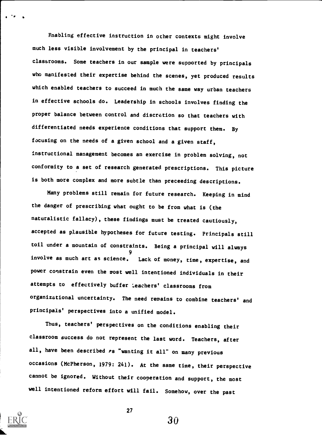Enabling effective instruction in other contexts might involve much less visible involvement by the principal in teachers' classrooms. Some teachers in our sample were supported by principals who manifested their expertise behind the scenes, yet produced results which enabled teachers to succeed in much the same way urban teachers in effective schools do. Leadership in schools involves finding the proper balance between control and discretion so that teachers with differentiated needs experience conditions that support them. By focusing on the needs of a given school and a given staff, instructional management becomes an exercise in problem solving, not conformity to a set of research generated prescriptions. This picture is both more complex and more subtle than preceeding descriptions.

Many problems still remain for future research. Keeping in mind the danger of prescribing what ought to be from what is (the naturalistic fallacy), these findings must be treated cautiously, accepted as plausible hypotheses for future testing. Principals still toil under a mountain of constraints. Being a principal will always 9 involve as much art as science. Lack of money, time, expertise, and power constrain even the most well intentioned individuals in their attempts to effectively buffer 'eachers' classrooms from organizational uncertainty. The need remains to combine teachers' and principals' perspectives into a unified model.

Thus, teachers' perspectives on the conditions enabling their classroom success do not represent the last word. Teachers, after all, have been described *Ps* "wanting it all" on many previous occasions (McPherson, 1979: 241). At the same time, their perspective cannot be ignored. Without their cooperation and support, the most well intentioned reform effort will fail. Somehow, over the past



27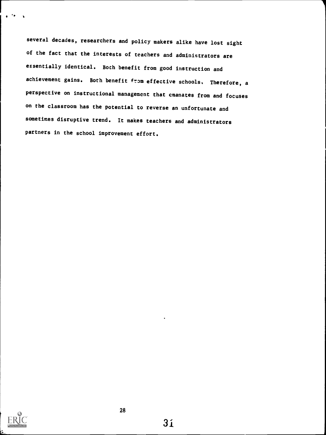several decades, researchers and policy makers alike have lost sight of the fact that the interests of teachers and administrators are essentially identical. Both benefit from good instruction and achievement gains. Both benefit from effective schools, Therefore, a perspective on instructional management that emanates from and focuses on the classroom has the potential to reverse an unfortunate and sometimes disruptive trend. It makes teachers and administrators partners in the school improvement effort.

I

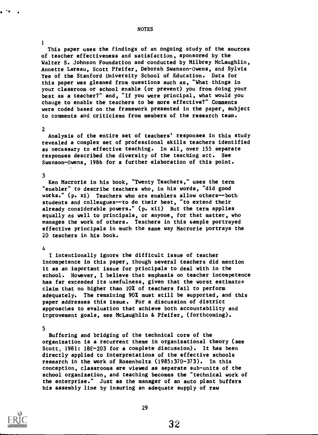This paper uses the findings of an ongoing study of the sources of teacher effectiveness and satisfaction, sponsored by the Walter S. Johnson Foundation and conducted by Milbrey McLaughlin, Annette Lareau, Scott Pfeifer, Deborah Swanson-Owens, and Sylvia Yee of the Stanford University School of Education. Data for this paper was gleaned from questions such as, "What things in your classroom or school enable (or prevent) you from doing your best as a teacher?" and, "If you were principal, what would you change to enable the teachers to be more effective?" Comments were coded based on the framework presented in the paper, subject to comments and criticisms from members of the research team.

#### 2

1

Analysis of the entire set of teachers' responses in this study revealed a complex set of professional skills teachers identified as necessary to effective teaching. In all, over 155 separate responses described the diversity of the teaching act. See Swanson-Owens, 1986 for a further elaboration of this point.

### 3

Ken Macrorie in his book, "Twenty Teachers," uses the term "enabler" to describe teachers who, in his words, "did good works." (p. xi) Teachers who are enablers allow others--both students and colleagues--to do their best, "to extend their already considerable powers." (p. xii) But the term applies equally as well to principals, or anyone, for that matter, who manages the work of others. Teachers in this sample portrayed effective principals in much the same way Macrorie portrays the 20 teachers in his book.

### 4

I intentionally ignore the difficult issue of teacher incompetence in this paper, though several teachers did mention it as an important issue for principals to deal with in the school. However, I believe that emphasis on teacher incompetence has far exceeded its usefulness, given that the worst estimates claim that no higher than 10% of teachers fail to perform adequately. The remaining 90% must still be supported, and this paper addresses this issue. For a discussion of district approaches to evaluation that achieve both accountability and improvement goals, see McLaughlin & Pfeifer, (forthcoming).

#### 5

Buffering and bridging of the technical core of the organization is a recurrent theme in organizational theory (see Scott, 1981: 188-203 for a complete discussion). It has been directly applied to interpretations of the effective schools research in the work of Rosenholtz (1985:370-373). In this conception, classrooms are viewed as separate sub-units of the school organization, and teaching becomes the "technical work of the enterprise." Just as the manager of an auto plant buffers his assembly line by insuring an adequate supply of raw

29



#### NOTES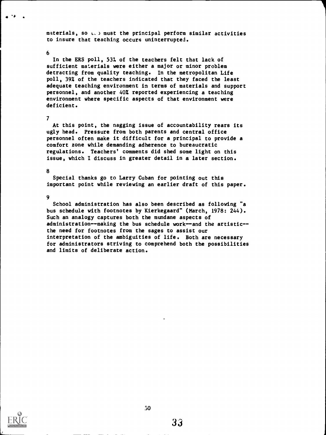materials, so  $L$ .) must the principal perform similar activities to insure that teaching occurs uninterrupted.

### $\mathbf{6}$

'\* .

In the ERS poll, 53% of the teachers felt that lack of sufficient materials were either a major or minor problem detracting from quality teaching. In the metropolitan Life poll, 39% of the teachers indicated that they faced the least adequate teaching environment in terms of materials and support personnel, and another 40% reported experiencing a teaching environment where specific aspects of that environment were deficient.

#### 7

At this point, the nagging issue of accountability rears its ugly head. Pressure from both parents and central office personnel often make it difficult for a principal to provide a comfort zone while demanding adherence to bureaucratic regulations. Teachers' comments did shed some light on this issue, which I discuss in greater detail in a later section.

#### 8

Special thanks go to Larry Cuban for pointing out this important point while reviewing an earlier draft of this paper.

9

School administration has also been described as following "a bus schedule with footnotes by Kierkegaard" (March, 1978: 244). Such an analogy captures both the mundane aspects of administration--making the bus schedule work--and the artistic-the need for footnotes from the sages to assist our interpretation of the ambiguities of life. Both are necessary for administrators striving to comprehend both the possibilities and limits of deliberate action.

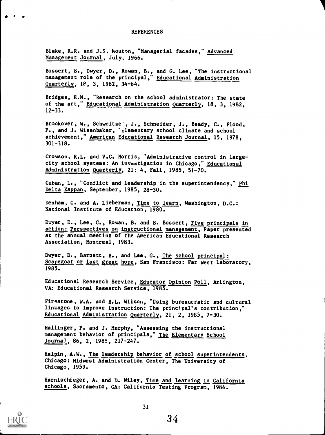#### **REFERENCES**

Blake, R.R. and J.S. Mouton, "Managerial facades," Advanced Management Journal, July, 1966.

Bossert, S., Dwyer, D., Rowan, B., and G. Lee, "The instructional management role of the principal," Educational Administration Quarterly, 18, 3, 1982, 34-64.

Bridges, E.M., "Research on the school administrator: The state of the art," Educational Administration Quarterly, 18, 3, 1982,  $12 - 33.$ 

Brookover, W., Schweitze<sup>-</sup>, J., Schneider, J., Beady, C., Flood, P., and J. Wisenbaker, 'zlementary school climate and school achievement," American Educational Research Journal, 15, 1978, 301-318.

Crowson, R.L. and V.C. Morris, 'Administrative control in largecity school systems: An investigation in Chicago," Educational Administration Quarterly, 21: 4, Fall, 1985, 51-70.

Cuban, L., "Conflict and leadership in the superintendency," Phi Delta Kappan, September, 1985, 28-30.

Denham, C. and A. Lieberman, Time to learn, Washington, D.C.: National Institute of Education, 1980.

Dwyer, D., Lee, G., Rowan, B. and S. Bossert, Five principals in action: Perspectives on instructional management, Paper presented at the annual meeting of the American Educational Research Association, Montreal, 1983.

Dwyer, D., Barnett, B., and Lee, G., The school principal: Scapegoat or last great hope, San Francisco: Far West Laboratory, 1985.

Educational Research Service, Educator Opinion Poll, Arlington, VA: Educational Research Service, 1985.

Firestone, W.A. and B.L. Wilson, "Using bureaucratic and cultural linkages to improve instruction: The principal's contribution," Educational Administration Quarterly, 21, 2, 1965, 7-30.

Hallinger, P. and J. Murphy, "Assessing the instructional management behavior of principals," The Elementary School Journal, 86, 2, 1985, 217-247.

Halpin, A.W., The leadership behavior of school superintendents, Chicago: Midwest Administration Center, The University of Chicago, 1959.

Harnischfeger, A. and D. Wiley, Time and learning in California schools, Sacramento, CA: California Testing Program, 1984.

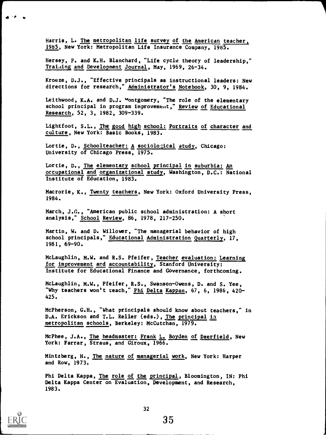Harris, L. The metropolitan life survey of the American teacher, 1985, New York: Metropolitan Life Insurance Company, 1985.

Hersey, P. and K.H. Blanchard, "Life cycle theory of leadership," Training and Development Journal, May, 1969, 26-34.

Kroeze, D.J., "Effective principals as instructional leaders: New directions for research," Administrator's Notebook, 30, 9, 1984.

Leithwood, K.A. and D.J. Montgomery, "The role of the elementary school principal in program improvement," Review of Educational Research, 52, 3, 1982, 309-339.

Lightfoot, S.L., The good high school: Portraits of character and culture, New York: Basic Books, 1983.

Lortie, D., Schoolteacher: A sociological study, Chicago: University of Chicago Press, 1975.

Lortie, D., The elementary school principal in suburbia: An occupational and organizational study, Washington, D.C.: National Institute of Education, 1983.

Macrorie, K., Twenty teachers, New York: Oxford University Press, 1984.

March, J.G., "American public school administration: A short analysis," School Review, 86, 1978, 217-250.

Martin, W. and D. Willower, "The managerial behavior of high school principals," Educational Administration Quarterly, 17, 1981, 69-90.

McLaughlin, M.W. and R.S. Pfeifer, Teacher evaluation: Learning for improvement and accountability, Stanford University: Institute for Educational Finance and Governance, forthcoming.

McLaughlin, M.W., Pfeifer, R.S., Swanson-Owens, D. and S. Yee, "Why teachers won't teach," Phi Delta Kappan, 67, 6, 1986, 420-425.

McPherson, G.H., "What principals should know about teachers," in D.A. Erickson and T.L. Reller (eds.), The principal in metropolitan schools, Berkeley: McCutchan, 1979.

McPhee, J.A., <u>The headmaster: Frank L. Boyden of Deerfield</u>, New York: Farrar, Straus, and Giroux, 1966.

Mintzberg, H., <u>The nature of managerial work</u>, New York: Harper and Row, 1973.

Phi Delta Kappa, The role of the principal, Bloomington, IN: Phi Delta Kappa Center on Evaluation, Development, and Research, 1983.